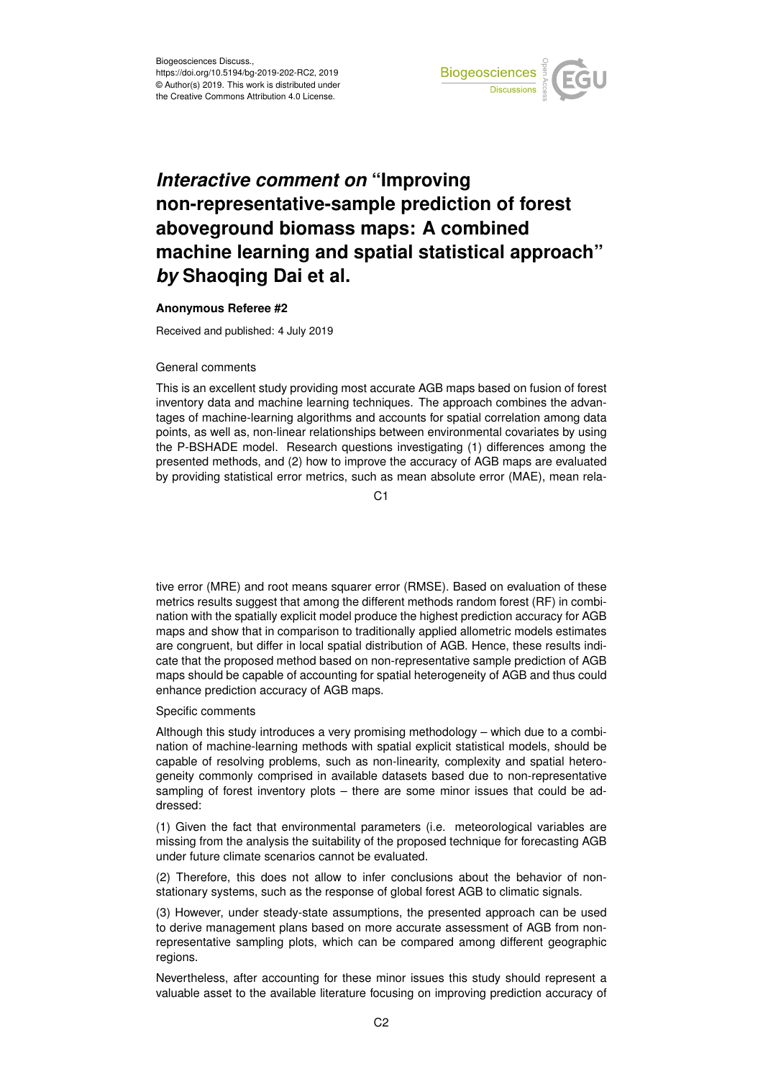

## *Interactive comment on* **"Improving non-representative-sample prediction of forest aboveground biomass maps: A combined machine learning and spatial statistical approach"** *by* **Shaoqing Dai et al.**

## **Anonymous Referee #2**

Received and published: 4 July 2019

## General comments

This is an excellent study providing most accurate AGB maps based on fusion of forest inventory data and machine learning techniques. The approach combines the advantages of machine-learning algorithms and accounts for spatial correlation among data points, as well as, non-linear relationships between environmental covariates by using the P-BSHADE model. Research questions investigating (1) differences among the presented methods, and (2) how to improve the accuracy of AGB maps are evaluated by providing statistical error metrics, such as mean absolute error (MAE), mean rela-

C1

tive error (MRE) and root means squarer error (RMSE). Based on evaluation of these metrics results suggest that among the different methods random forest (RF) in combination with the spatially explicit model produce the highest prediction accuracy for AGB maps and show that in comparison to traditionally applied allometric models estimates are congruent, but differ in local spatial distribution of AGB. Hence, these results indicate that the proposed method based on non-representative sample prediction of AGB maps should be capable of accounting for spatial heterogeneity of AGB and thus could enhance prediction accuracy of AGB maps.

## Specific comments

Although this study introduces a very promising methodology – which due to a combination of machine-learning methods with spatial explicit statistical models, should be capable of resolving problems, such as non-linearity, complexity and spatial heterogeneity commonly comprised in available datasets based due to non-representative sampling of forest inventory plots – there are some minor issues that could be addressed:

(1) Given the fact that environmental parameters (i.e. meteorological variables are missing from the analysis the suitability of the proposed technique for forecasting AGB under future climate scenarios cannot be evaluated.

(2) Therefore, this does not allow to infer conclusions about the behavior of nonstationary systems, such as the response of global forest AGB to climatic signals.

(3) However, under steady-state assumptions, the presented approach can be used to derive management plans based on more accurate assessment of AGB from nonrepresentative sampling plots, which can be compared among different geographic regions.

Nevertheless, after accounting for these minor issues this study should represent a valuable asset to the available literature focusing on improving prediction accuracy of